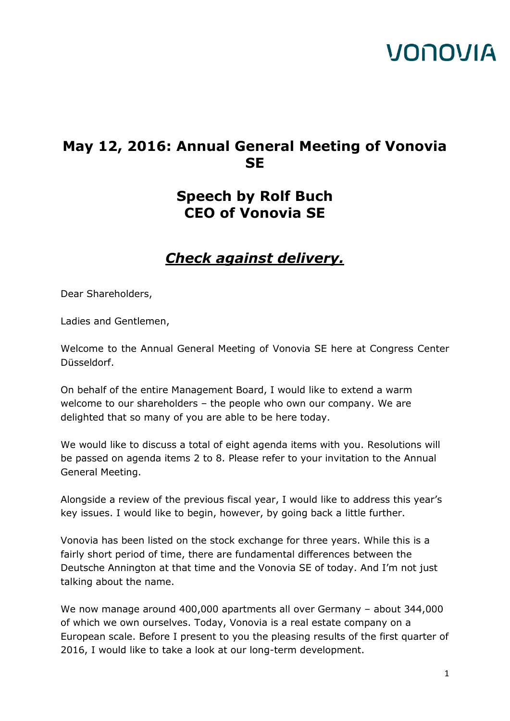#### **May 12, 2016: Annual General Meeting of Vonovia SE**

#### **Speech by Rolf Buch CEO of Vonovia SE**

#### *Check against delivery.*

Dear Shareholders,

Ladies and Gentlemen,

Welcome to the Annual General Meeting of Vonovia SE here at Congress Center Düsseldorf.

On behalf of the entire Management Board, I would like to extend a warm welcome to our shareholders – the people who own our company. We are delighted that so many of you are able to be here today.

We would like to discuss a total of eight agenda items with you. Resolutions will be passed on agenda items 2 to 8. Please refer to your invitation to the Annual General Meeting.

Alongside a review of the previous fiscal year, I would like to address this year's key issues. I would like to begin, however, by going back a little further.

Vonovia has been listed on the stock exchange for three years. While this is a fairly short period of time, there are fundamental differences between the Deutsche Annington at that time and the Vonovia SE of today. And I'm not just talking about the name.

We now manage around 400,000 apartments all over Germany – about 344,000 of which we own ourselves. Today, Vonovia is a real estate company on a European scale. Before I present to you the pleasing results of the first quarter of 2016, I would like to take a look at our long-term development.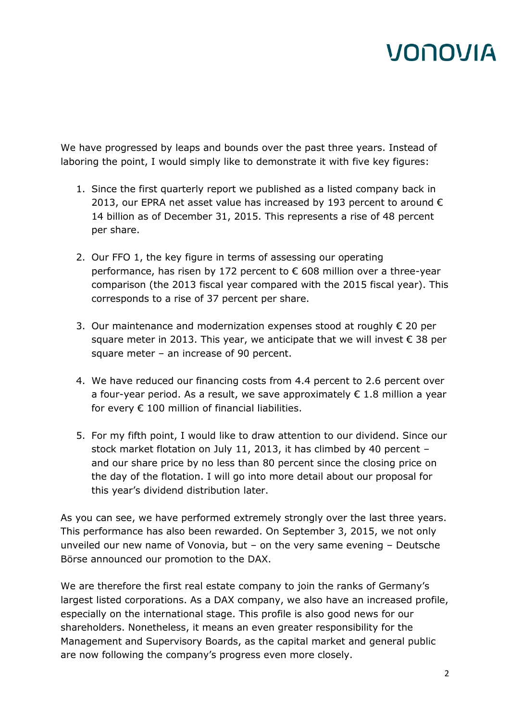We have progressed by leaps and bounds over the past three years. Instead of laboring the point, I would simply like to demonstrate it with five key figures:

- 1. Since the first quarterly report we published as a listed company back in 2013, our EPRA net asset value has increased by 193 percent to around  $\epsilon$ 14 billion as of December 31, 2015. This represents a rise of 48 percent per share.
- 2. Our FFO 1, the key figure in terms of assessing our operating performance, has risen by 172 percent to € 608 million over a three-year comparison (the 2013 fiscal year compared with the 2015 fiscal year). This corresponds to a rise of 37 percent per share.
- 3. Our maintenance and modernization expenses stood at roughly € 20 per square meter in 2013. This year, we anticipate that we will invest  $\epsilon$  38 per square meter – an increase of 90 percent.
- 4. We have reduced our financing costs from 4.4 percent to 2.6 percent over a four-year period. As a result, we save approximately  $\epsilon$  1.8 million a year for every  $\epsilon$  100 million of financial liabilities.
- 5. For my fifth point, I would like to draw attention to our dividend. Since our stock market flotation on July 11, 2013, it has climbed by 40 percent – and our share price by no less than 80 percent since the closing price on the day of the flotation. I will go into more detail about our proposal for this year's dividend distribution later.

As you can see, we have performed extremely strongly over the last three years. This performance has also been rewarded. On September 3, 2015, we not only unveiled our new name of Vonovia, but – on the very same evening – Deutsche Börse announced our promotion to the DAX.

We are therefore the first real estate company to join the ranks of Germany's largest listed corporations. As a DAX company, we also have an increased profile, especially on the international stage. This profile is also good news for our shareholders. Nonetheless, it means an even greater responsibility for the Management and Supervisory Boards, as the capital market and general public are now following the company's progress even more closely.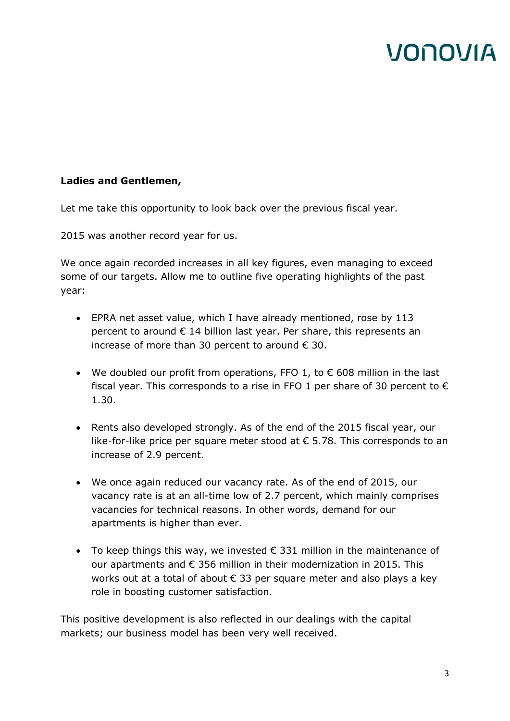#### **Ladies and Gentlemen,**

Let me take this opportunity to look back over the previous fiscal year.

2015 was another record year for us.

We once again recorded increases in all key figures, even managing to exceed some of our targets. Allow me to outline five operating highlights of the past year:

- EPRA net asset value, which I have already mentioned, rose by 113 percent to around € 14 billion last year. Per share, this represents an increase of more than 30 percent to around  $\epsilon$  30.
- We doubled our profit from operations, FFO 1, to  $\epsilon$  608 million in the last fiscal year. This corresponds to a rise in FFO 1 per share of 30 percent to  $\epsilon$ 1.30.
- Rents also developed strongly. As of the end of the 2015 fiscal year, our like-for-like price per square meter stood at € 5.78. This corresponds to an increase of 2.9 percent.
- We once again reduced our vacancy rate. As of the end of 2015, our vacancy rate is at an all-time low of 2.7 percent, which mainly comprises vacancies for technical reasons. In other words, demand for our apartments is higher than ever.
- To keep things this way, we invested  $\epsilon$  331 million in the maintenance of our apartments and € 356 million in their modernization in 2015. This works out at a total of about  $\epsilon$  33 per square meter and also plays a key role in boosting customer satisfaction.

This positive development is also reflected in our dealings with the capital markets; our business model has been very well received.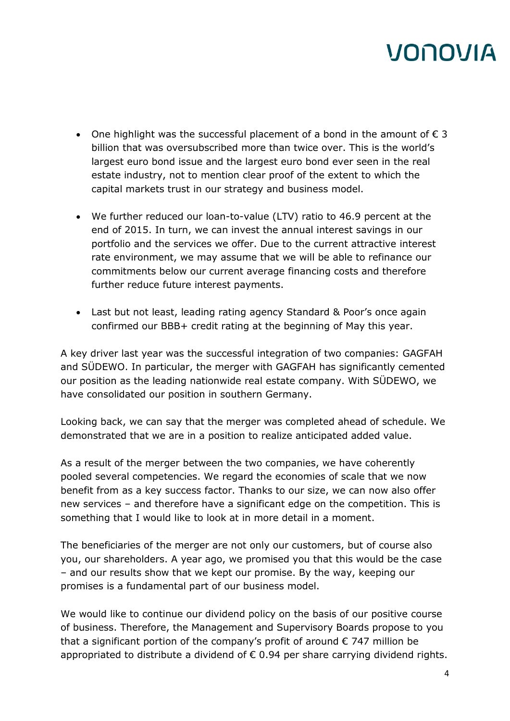- One highlight was the successful placement of a bond in the amount of  $\epsilon$  3 billion that was oversubscribed more than twice over. This is the world's largest euro bond issue and the largest euro bond ever seen in the real estate industry, not to mention clear proof of the extent to which the capital markets trust in our strategy and business model.
- We further reduced our loan-to-value (LTV) ratio to 46.9 percent at the end of 2015. In turn, we can invest the annual interest savings in our portfolio and the services we offer. Due to the current attractive interest rate environment, we may assume that we will be able to refinance our commitments below our current average financing costs and therefore further reduce future interest payments.
- Last but not least, leading rating agency Standard & Poor's once again confirmed our BBB+ credit rating at the beginning of May this year.

A key driver last year was the successful integration of two companies: GAGFAH and SÜDEWO. In particular, the merger with GAGFAH has significantly cemented our position as the leading nationwide real estate company. With SÜDEWO, we have consolidated our position in southern Germany.

Looking back, we can say that the merger was completed ahead of schedule. We demonstrated that we are in a position to realize anticipated added value.

As a result of the merger between the two companies, we have coherently pooled several competencies. We regard the economies of scale that we now benefit from as a key success factor. Thanks to our size, we can now also offer new services – and therefore have a significant edge on the competition. This is something that I would like to look at in more detail in a moment.

The beneficiaries of the merger are not only our customers, but of course also you, our shareholders. A year ago, we promised you that this would be the case – and our results show that we kept our promise. By the way, keeping our promises is a fundamental part of our business model.

We would like to continue our dividend policy on the basis of our positive course of business. Therefore, the Management and Supervisory Boards propose to you that a significant portion of the company's profit of around  $\epsilon$  747 million be appropriated to distribute a dividend of  $\epsilon$  0.94 per share carrying dividend rights.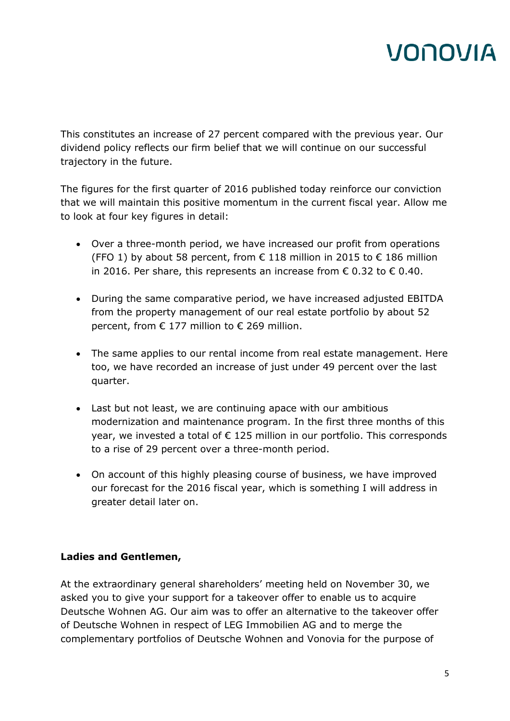This constitutes an increase of 27 percent compared with the previous year. Our dividend policy reflects our firm belief that we will continue on our successful trajectory in the future.

The figures for the first quarter of 2016 published today reinforce our conviction that we will maintain this positive momentum in the current fiscal year. Allow me to look at four key figures in detail:

- Over a three-month period, we have increased our profit from operations (FFO 1) by about 58 percent, from  $\epsilon$  118 million in 2015 to  $\epsilon$  186 million in 2016. Per share, this represents an increase from  $\epsilon$  0.32 to  $\epsilon$  0.40.
- During the same comparative period, we have increased adjusted EBITDA from the property management of our real estate portfolio by about 52 percent, from € 177 million to € 269 million.
- The same applies to our rental income from real estate management. Here too, we have recorded an increase of just under 49 percent over the last quarter.
- Last but not least, we are continuing apace with our ambitious modernization and maintenance program. In the first three months of this year, we invested a total of € 125 million in our portfolio. This corresponds to a rise of 29 percent over a three-month period.
- On account of this highly pleasing course of business, we have improved our forecast for the 2016 fiscal year, which is something I will address in greater detail later on.

#### **Ladies and Gentlemen,**

At the extraordinary general shareholders' meeting held on November 30, we asked you to give your support for a takeover offer to enable us to acquire Deutsche Wohnen AG. Our aim was to offer an alternative to the takeover offer of Deutsche Wohnen in respect of LEG Immobilien AG and to merge the complementary portfolios of Deutsche Wohnen and Vonovia for the purpose of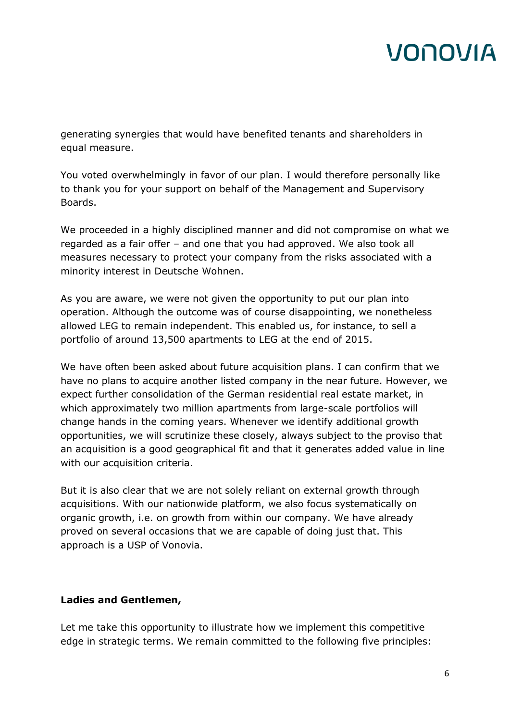generating synergies that would have benefited tenants and shareholders in equal measure.

You voted overwhelmingly in favor of our plan. I would therefore personally like to thank you for your support on behalf of the Management and Supervisory Boards.

We proceeded in a highly disciplined manner and did not compromise on what we regarded as a fair offer – and one that you had approved. We also took all measures necessary to protect your company from the risks associated with a minority interest in Deutsche Wohnen.

As you are aware, we were not given the opportunity to put our plan into operation. Although the outcome was of course disappointing, we nonetheless allowed LEG to remain independent. This enabled us, for instance, to sell a portfolio of around 13,500 apartments to LEG at the end of 2015.

We have often been asked about future acquisition plans. I can confirm that we have no plans to acquire another listed company in the near future. However, we expect further consolidation of the German residential real estate market, in which approximately two million apartments from large-scale portfolios will change hands in the coming years. Whenever we identify additional growth opportunities, we will scrutinize these closely, always subject to the proviso that an acquisition is a good geographical fit and that it generates added value in line with our acquisition criteria.

But it is also clear that we are not solely reliant on external growth through acquisitions. With our nationwide platform, we also focus systematically on organic growth, i.e. on growth from within our company. We have already proved on several occasions that we are capable of doing just that. This approach is a USP of Vonovia.

#### **Ladies and Gentlemen,**

Let me take this opportunity to illustrate how we implement this competitive edge in strategic terms. We remain committed to the following five principles: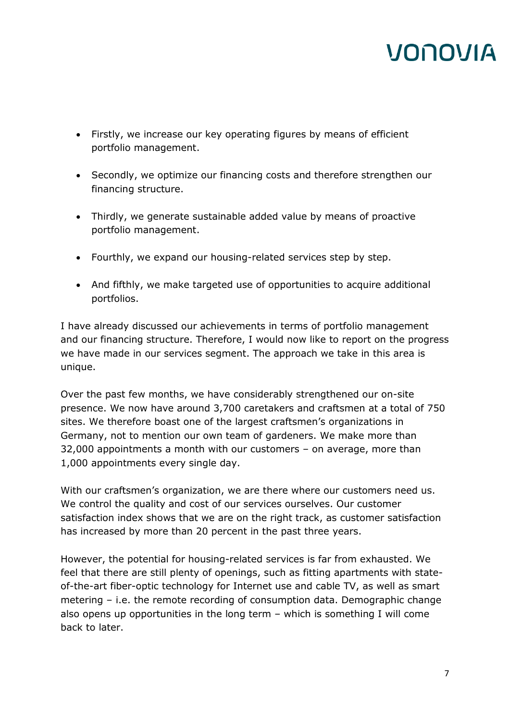- Firstly, we increase our key operating figures by means of efficient portfolio management.
- Secondly, we optimize our financing costs and therefore strengthen our financing structure.
- Thirdly, we generate sustainable added value by means of proactive portfolio management.
- Fourthly, we expand our housing-related services step by step.
- And fifthly, we make targeted use of opportunities to acquire additional portfolios.

I have already discussed our achievements in terms of portfolio management and our financing structure. Therefore, I would now like to report on the progress we have made in our services segment. The approach we take in this area is unique.

Over the past few months, we have considerably strengthened our on-site presence. We now have around 3,700 caretakers and craftsmen at a total of 750 sites. We therefore boast one of the largest craftsmen's organizations in Germany, not to mention our own team of gardeners. We make more than 32,000 appointments a month with our customers – on average, more than 1,000 appointments every single day.

With our craftsmen's organization, we are there where our customers need us. We control the quality and cost of our services ourselves. Our customer satisfaction index shows that we are on the right track, as customer satisfaction has increased by more than 20 percent in the past three years.

However, the potential for housing-related services is far from exhausted. We feel that there are still plenty of openings, such as fitting apartments with stateof-the-art fiber-optic technology for Internet use and cable TV, as well as smart metering – i.e. the remote recording of consumption data. Demographic change also opens up opportunities in the long term – which is something I will come back to later.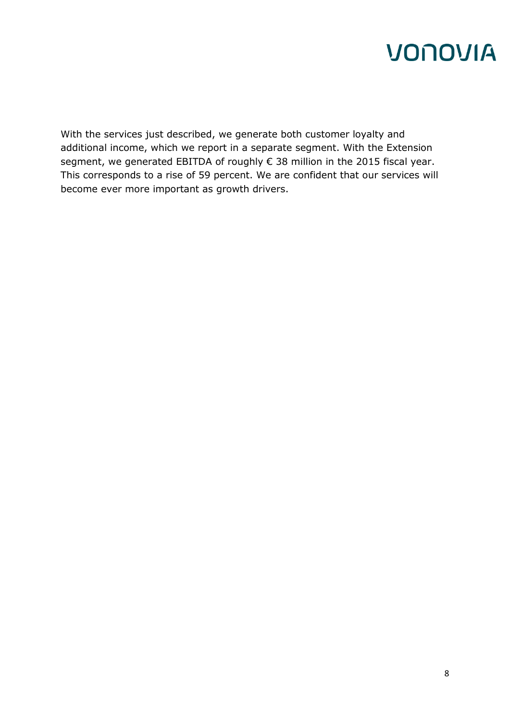With the services just described, we generate both customer loyalty and additional income, which we report in a separate segment. With the Extension segment, we generated EBITDA of roughly € 38 million in the 2015 fiscal year. This corresponds to a rise of 59 percent. We are confident that our services will become ever more important as growth drivers.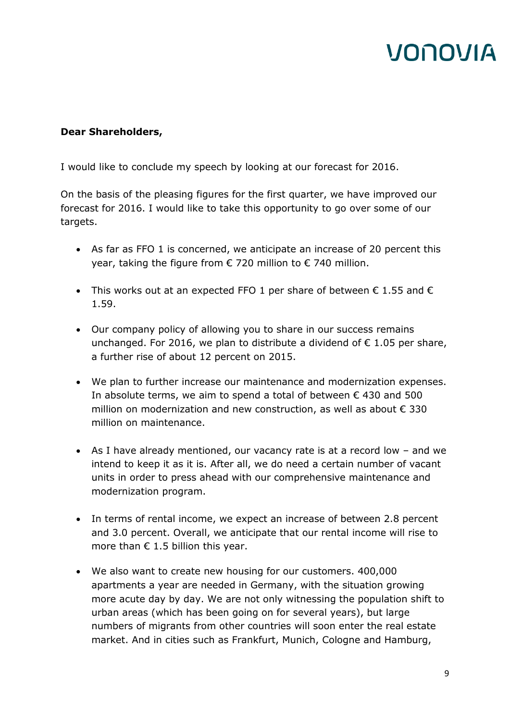#### **Dear Shareholders,**

I would like to conclude my speech by looking at our forecast for 2016.

On the basis of the pleasing figures for the first quarter, we have improved our forecast for 2016. I would like to take this opportunity to go over some of our targets.

- As far as FFO 1 is concerned, we anticipate an increase of 20 percent this year, taking the figure from € 720 million to € 740 million.
- This works out at an expected FFO 1 per share of between  $\epsilon$  1.55 and  $\epsilon$ 1.59.
- Our company policy of allowing you to share in our success remains unchanged. For 2016, we plan to distribute a dividend of  $\epsilon$  1.05 per share, a further rise of about 12 percent on 2015.
- We plan to further increase our maintenance and modernization expenses. In absolute terms, we aim to spend a total of between  $\epsilon$  430 and 500 million on modernization and new construction, as well as about  $\epsilon$  330 million on maintenance.
- As I have already mentioned, our vacancy rate is at a record low and we intend to keep it as it is. After all, we do need a certain number of vacant units in order to press ahead with our comprehensive maintenance and modernization program.
- In terms of rental income, we expect an increase of between 2.8 percent and 3.0 percent. Overall, we anticipate that our rental income will rise to more than  $\epsilon$  1.5 billion this year.
- We also want to create new housing for our customers. 400,000 apartments a year are needed in Germany, with the situation growing more acute day by day. We are not only witnessing the population shift to urban areas (which has been going on for several years), but large numbers of migrants from other countries will soon enter the real estate market. And in cities such as Frankfurt, Munich, Cologne and Hamburg,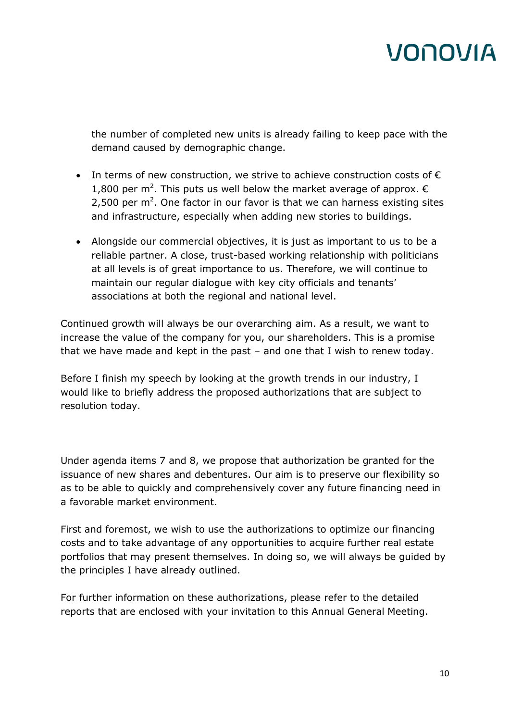the number of completed new units is already failing to keep pace with the demand caused by demographic change.

- In terms of new construction, we strive to achieve construction costs of  $\epsilon$ 1,800 per m<sup>2</sup>. This puts us well below the market average of approx.  $\epsilon$ 2,500 per  $m^2$ . One factor in our favor is that we can harness existing sites and infrastructure, especially when adding new stories to buildings.
- Alongside our commercial objectives, it is just as important to us to be a reliable partner. A close, trust-based working relationship with politicians at all levels is of great importance to us. Therefore, we will continue to maintain our regular dialogue with key city officials and tenants' associations at both the regional and national level.

Continued growth will always be our overarching aim. As a result, we want to increase the value of the company for you, our shareholders. This is a promise that we have made and kept in the past – and one that I wish to renew today.

Before I finish my speech by looking at the growth trends in our industry, I would like to briefly address the proposed authorizations that are subject to resolution today.

Under agenda items 7 and 8, we propose that authorization be granted for the issuance of new shares and debentures. Our aim is to preserve our flexibility so as to be able to quickly and comprehensively cover any future financing need in a favorable market environment.

First and foremost, we wish to use the authorizations to optimize our financing costs and to take advantage of any opportunities to acquire further real estate portfolios that may present themselves. In doing so, we will always be guided by the principles I have already outlined.

For further information on these authorizations, please refer to the detailed reports that are enclosed with your invitation to this Annual General Meeting.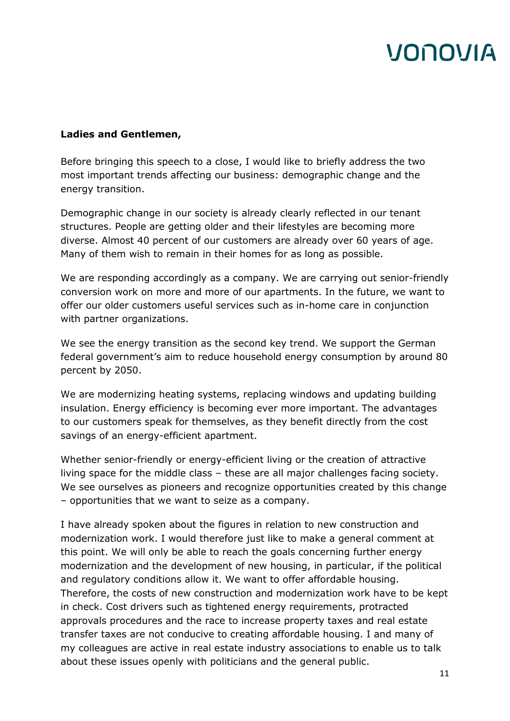#### **Ladies and Gentlemen,**

Before bringing this speech to a close, I would like to briefly address the two most important trends affecting our business: demographic change and the energy transition.

Demographic change in our society is already clearly reflected in our tenant structures. People are getting older and their lifestyles are becoming more diverse. Almost 40 percent of our customers are already over 60 years of age. Many of them wish to remain in their homes for as long as possible.

We are responding accordingly as a company. We are carrying out senior-friendly conversion work on more and more of our apartments. In the future, we want to offer our older customers useful services such as in-home care in conjunction with partner organizations.

We see the energy transition as the second key trend. We support the German federal government's aim to reduce household energy consumption by around 80 percent by 2050.

We are modernizing heating systems, replacing windows and updating building insulation. Energy efficiency is becoming ever more important. The advantages to our customers speak for themselves, as they benefit directly from the cost savings of an energy-efficient apartment.

Whether senior-friendly or energy-efficient living or the creation of attractive living space for the middle class – these are all major challenges facing society. We see ourselves as pioneers and recognize opportunities created by this change – opportunities that we want to seize as a company.

I have already spoken about the figures in relation to new construction and modernization work. I would therefore just like to make a general comment at this point. We will only be able to reach the goals concerning further energy modernization and the development of new housing, in particular, if the political and regulatory conditions allow it. We want to offer affordable housing. Therefore, the costs of new construction and modernization work have to be kept in check. Cost drivers such as tightened energy requirements, protracted approvals procedures and the race to increase property taxes and real estate transfer taxes are not conducive to creating affordable housing. I and many of my colleagues are active in real estate industry associations to enable us to talk about these issues openly with politicians and the general public.